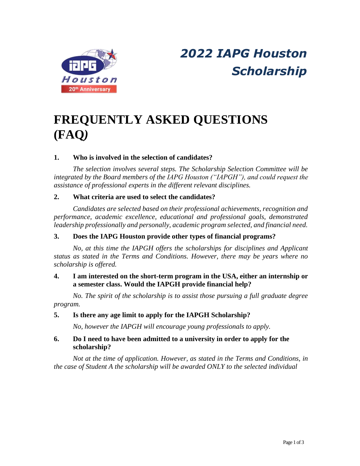

# *2022 IAPG Houston Scholarship*

# **FREQUENTLY ASKED QUESTIONS (FAQ***)*

# **1. Who is involved in the selection of candidates?**

*The selection involves several steps. The Scholarship Selection Committee will be integrated by the Board members of the IAPG Houston ("IAPGH"), and could request the assistance of professional experts in the different relevant disciplines.*

# **2. What criteria are used to select the candidates?**

*Candidates are selected based on their professional achievements, recognition and performance, academic excellence, educational and professional goals, demonstrated leadership professionally and personally, academic program selected, and financial need.*

# **3. Does the IAPG Houston provide other types of financial programs?**

*No, at this time the IAPGH offers the scholarships for disciplines and Applicant status as stated in the Terms and Conditions. However, there may be years where no scholarship is offered.*

# **4. I am interested on the short-term program in the USA, either an internship or a semester class. Would the IAPGH provide financial help?**

*No. The spirit of the scholarship is to assist those pursuing a full graduate degree program.*

## **5. Is there any age limit to apply for the IAPGH Scholarship?**

*No, however the IAPGH will encourage young professionals to apply.*

# **6. Do I need to have been admitted to a university in order to apply for the scholarship?**

*Not at the time of application. However, as stated in the Terms and Conditions, in the case of Student A the scholarship will be awarded ONLY to the selected individual*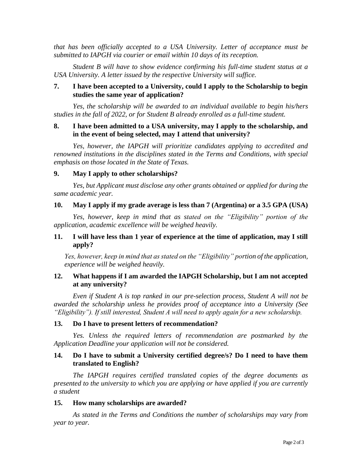*that has been officially accepted to a USA University. Letter of acceptance must be submitted to IAPGH via courier or email within 10 days of its reception.*

*Student B will have to show evidence confirming his full-time student status at a USA University. A letter issued by the respective University will suffice.*

#### **7. I have been accepted to a University, could I apply to the Scholarship to begin studies the same year of application?**

*Yes, the scholarship will be awarded to an individual available to begin his/hers studies in the fall of 2022, or for Student B already enrolled as a full-time student.*

#### **8. I have been admitted to a USA university, may I apply to the scholarship, and in the event of being selected, may I attend that university?**

*Yes, however, the IAPGH will prioritize candidates applying to accredited and renowned institutions in the disciplines stated in the Terms and Conditions, with special emphasis on those located in the State of Texas.*

#### **9. May I apply to other scholarships?**

*Yes, but Applicant must disclose any other grants obtained or applied for during the same academic year.*

#### **10. May I apply if my grade average is less than 7 (Argentina) or a 3.5 GPA (USA)**

*Yes, however, keep in mind that as stated on the "Eligibility" portion of the application, academic excellence will be weighed heavily.*

#### **11. I will have less than 1 year of experience at the time of application, may I still apply?**

*Yes, however, keep in mind that as stated on the "Eligibility" portion of the application, experience will be weighed heavily.*

## **12. What happens if I am awarded the IAPGH Scholarship, but I am not accepted at any university?**

*Even if Student A is top ranked in our pre-selection process, Student A will not be awarded the scholarship unless he provides proof of acceptance into a University (See "Eligibility"). If still interested, Student A will need to apply again for a new scholarship.*

#### **13. Do I have to present letters of recommendation?**

*Yes. Unless the required letters of recommendation are postmarked by the Application Deadline your application will not be considered.*

#### **14. Do I have to submit a University certified degree/s? Do I need to have them translated to English?**

*The IAPGH requires certified translated copies of the degree documents as presented to the university to which you are applying or have applied if you are currently a student*

#### **15. How many scholarships are awarded?**

*As stated in the Terms and Conditions the number of scholarships may vary from year to year.*